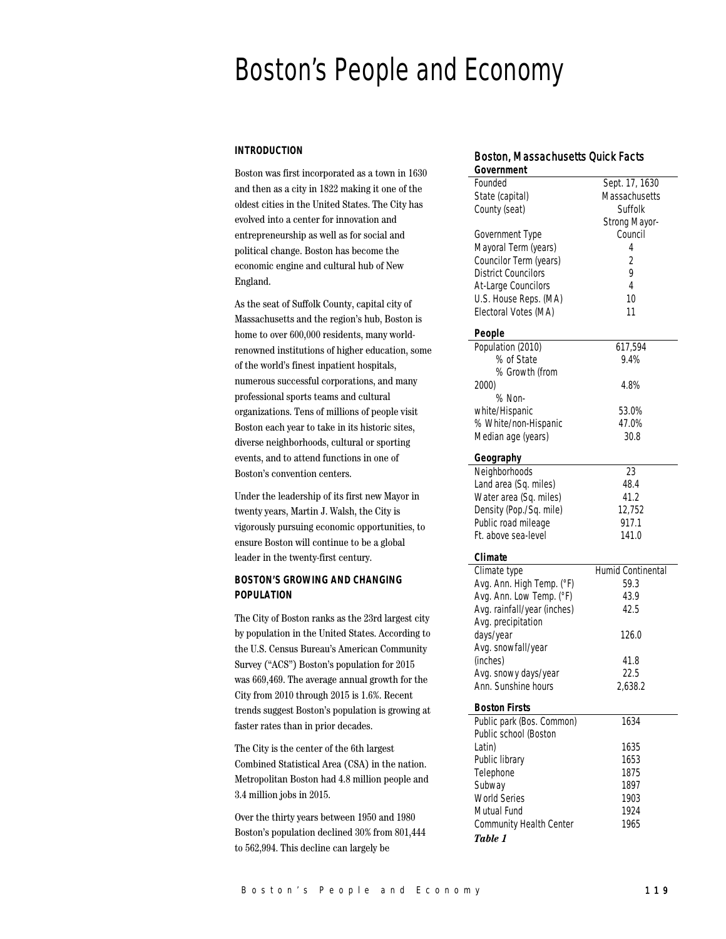# Boston's People and Economy

## **INTRODUCTION**

Boston was first incorporated as a town in 1630 and then as a city in 1822 making it one of the oldest cities in the United States. The City has evolved into a center for innovation and entrepreneurship as well as for social and political change. Boston has become the economic engine and cultural hub of New England.

As the seat of Suffolk County, capital city of Massachusetts and the region's hub, Boston is home to over 600,000 residents, many worldrenowned institutions of higher education, some of the world's finest inpatient hospitals, numerous successful corporations, and many professional sports teams and cultural organizations. Tens of millions of people visit Boston each year to take in its historic sites, diverse neighborhoods, cultural or sporting events, and to attend functions in one of Boston's convention centers.

Under the leadership of its first new Mayor in twenty years, Martin J. Walsh, the City is vigorously pursuing economic opportunities, to ensure Boston will continue to be a global leader in the twenty-first century.

## **BOSTON'S GROWING AND CHANGING POPULATION**

The City of Boston ranks as the 23rd largest city by population in the United States. According to the U.S. Census Bureau's American Community Survey ("ACS") Boston's population for 2015 was 669,469. The average annual growth for the City from 2010 through 2015 is 1.6%. Recent trends suggest Boston's population is growing at faster rates than in prior decades.

The City is the center of the 6th largest Combined Statistical Area (CSA) in the nation. Metropolitan Boston had 4.8 million people and 3.4 million jobs in 2015.

Over the thirty years between 1950 and 1980 Boston's population declined 30% from 801,444 to 562,994. This decline can largely be

# Boston, Massachusetts Quick Facts

| Government                  |                          |  |  |
|-----------------------------|--------------------------|--|--|
| Founded                     | Sept. 17, 1630           |  |  |
| State (capital)             | Massachusetts            |  |  |
| County (seat)               | Suffolk                  |  |  |
|                             | Strong Mayor-            |  |  |
| Government Type             | Council                  |  |  |
| Mayoral Term (years)        | 4                        |  |  |
|                             |                          |  |  |
| Councilor Term (years)      | $\overline{2}$           |  |  |
| <b>District Councilors</b>  | 9                        |  |  |
| At-Large Councilors         | 4                        |  |  |
| U.S. House Reps. (MA)       | 10                       |  |  |
| Electoral Votes (MA)        | 11                       |  |  |
|                             |                          |  |  |
| People                      |                          |  |  |
| Population (2010)           | 617,594                  |  |  |
| % of State                  | 9.4%                     |  |  |
| % Growth (from              |                          |  |  |
| 2000)                       | 4.8%                     |  |  |
| % Non-                      |                          |  |  |
| white/Hispanic              | 53.0%                    |  |  |
| % White/non-Hispanic        | 47.0%                    |  |  |
| Median age (years)          | 30.8                     |  |  |
|                             |                          |  |  |
| Geography                   |                          |  |  |
| Neighborhoods               | 23                       |  |  |
| Land area (Sq. miles)       | 48.4                     |  |  |
| Water area (Sq. miles)      | 41.2                     |  |  |
| Density (Pop./Sq. mile)     | 12,752                   |  |  |
| Public road mileage         | 917.1                    |  |  |
|                             |                          |  |  |
| Et, above sea-level         | 141.0                    |  |  |
| Climate                     |                          |  |  |
| Climate type                | <b>Humid Continental</b> |  |  |
| Avg. Ann. High Temp. (°F)   | 59.3                     |  |  |
| Avg. Ann. Low Temp. (°F)    | 43.9                     |  |  |
| Avg. rainfall/year (inches) | 42.5                     |  |  |
|                             |                          |  |  |
| Avg. precipitation          |                          |  |  |
| days/year                   | 126.0                    |  |  |
| Avg. snowfall/year          |                          |  |  |
| (inches)                    | 41.8                     |  |  |
| Avg. snowy days/year        | 22.5                     |  |  |
| Ann. Sunshine hours         | 2,638.2                  |  |  |
|                             |                          |  |  |
| <b>Boston Firsts</b>        |                          |  |  |
| Public park (Bos. Common)   | 1634                     |  |  |
| Public school (Boston       |                          |  |  |
| Latin)                      | 1635                     |  |  |
| Public library              | 1653                     |  |  |
| Telephone                   | 1875                     |  |  |
| Subway                      | 1897                     |  |  |
| <b>World Series</b>         | 1903                     |  |  |
| Mutual Fund                 | 1924                     |  |  |
| Community Health Center     | 1965                     |  |  |
|                             |                          |  |  |
| Table 1                     |                          |  |  |
|                             |                          |  |  |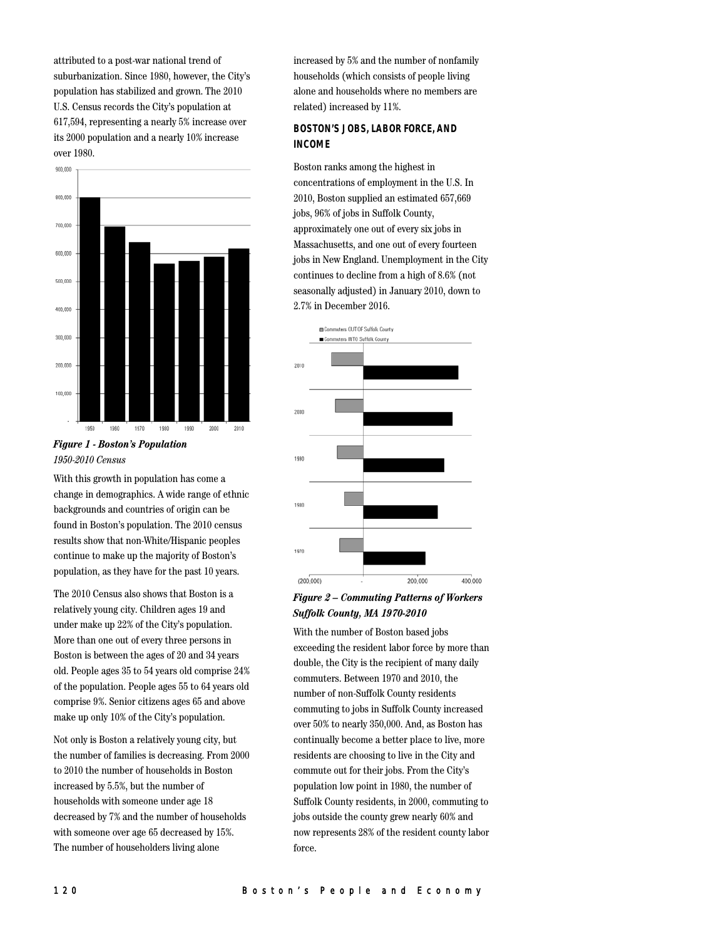attributed to a post-war national trend of suburbanization. Since 1980, however, the City's population has stabilized and grown. The 2010 U.S. Census records the City's population at 617,594, representing a nearly 5% increase over its 2000 population and a nearly 10% increase over 1980.



## *Figure 1 - Boston's Population 1950-2010 Census*

With this growth in population has come a change in demographics. A wide range of ethnic backgrounds and countries of origin can be found in Boston's population. The 2010 census results show that non-White/Hispanic peoples continue to make up the majority of Boston's population, as they have for the past 10 years.

The 2010 Census also shows that Boston is a relatively young city. Children ages 19 and under make up 22% of the City's population. More than one out of every three persons in Boston is between the ages of 20 and 34 years old. People ages 35 to 54 years old comprise 24% of the population. People ages 55 to 64 years old comprise 9%. Senior citizens ages 65 and above make up only 10% of the City's population.

Not only is Boston a relatively young city, but the number of families is decreasing. From 2000 to 2010 the number of households in Boston increased by 5.5%, but the number of households with someone under age 18 decreased by 7% and the number of households with someone over age 65 decreased by 15%. The number of householders living alone

increased by 5% and the number of nonfamily households (which consists of people living alone and households where no members are related) increased by 11%.

## **BOSTON'S JOBS, LABOR FORCE, AND INCOME**

Boston ranks among the highest in concentrations of employment in the U.S. In 2010, Boston supplied an estimated 657,669 jobs, 96% of jobs in Suffolk County, approximately one out of every six jobs in Massachusetts, and one out of every fourteen jobs in New England. Unemployment in the City continues to decline from a high of 8.6% (not seasonally adjusted) in January 2010, down to 2.7% in December 2016.



## *Figure 2 – Commuting Patterns of Workers Suffolk County, MA 1970-2010*

With the number of Boston based jobs exceeding the resident labor force by more than double, the City is the recipient of many daily commuters. Between 1970 and 2010, the number of non-Suffolk County residents commuting to jobs in Suffolk County increased over 50% to nearly 350,000. And, as Boston has continually become a better place to live, more residents are choosing to live in the City and commute out for their jobs. From the City's population low point in 1980, the number of Suffolk County residents, in 2000, commuting to jobs outside the county grew nearly 60% and now represents 28% of the resident county labor force.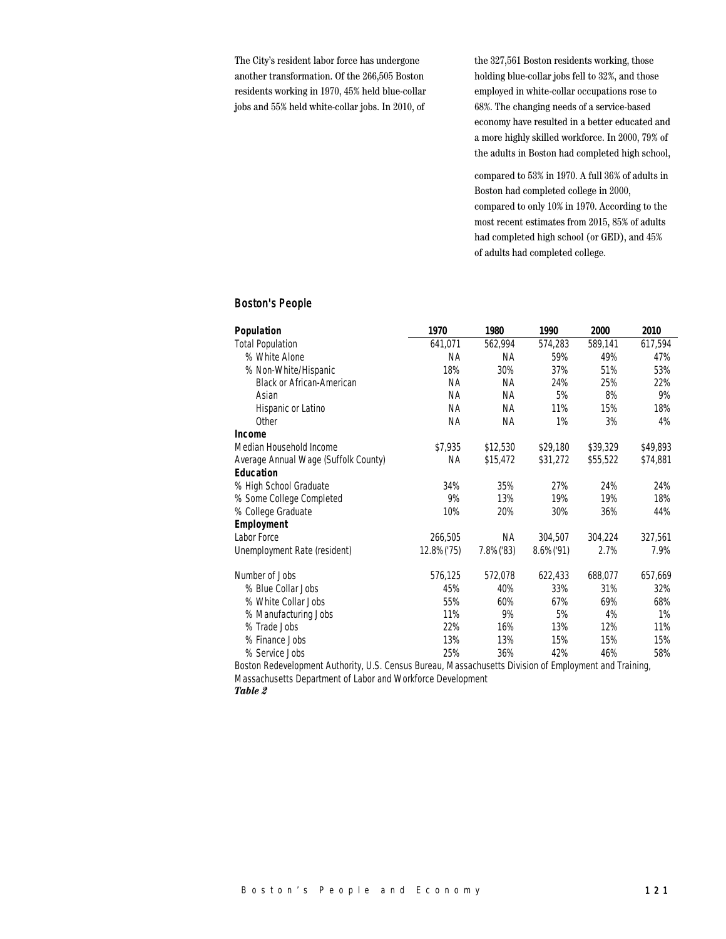The City's resident labor force has undergone another transformation. Of the 266,505 Boston residents working in 1970, 45% held blue-collar jobs and 55% held white-collar jobs. In 2010, of

the 327,561 Boston residents working, those holding blue-collar jobs fell to 32%, and those employed in white-collar occupations rose to 68%. The changing needs of a service-based economy have resulted in a better educated and a more highly skilled workforce. In 2000, 79% of the adults in Boston had completed high school,

compared to 53% in 1970. A full 36% of adults in Boston had completed college in 2000, compared to only 10% in 1970. According to the most recent estimates from 2015, 85% of adults had completed high school (or GED), and 45% of adults had completed college.

## Boston's People

| Population                           | 1970       | 1980      | 1990          | 2000     | 2010     |
|--------------------------------------|------------|-----------|---------------|----------|----------|
| <b>Total Population</b>              | 641,071    | 562,994   | 574,283       | 589,141  | 617,594  |
| % White Alone                        | NА         | <b>NA</b> | 59%           | 49%      | 47%      |
| % Non-White/Hispanic                 | 18%        | 30%       | 37%           | 51%      | 53%      |
| <b>Black or African-American</b>     | <b>NA</b>  | <b>NA</b> | 24%           | 25%      | 22%      |
| Asian                                | <b>NA</b>  | NA.       | 5%            | 8%       | 9%       |
| Hispanic or Latino                   | NА         | NА        | 11%           | 15%      | 18%      |
| Other                                | <b>NA</b>  | <b>NA</b> | 1%            | 3%       | 4%       |
| Income                               |            |           |               |          |          |
| Median Household Income              | \$7,935    | \$12,530  | \$29,180      | \$39,329 | \$49,893 |
| Average Annual Wage (Suffolk County) | <b>NA</b>  | \$15,472  | \$31,272      | \$55,522 | \$74,881 |
| <b>Education</b>                     |            |           |               |          |          |
| % High School Graduate               | 34%        | 35%       | 27%           | 24%      | 24%      |
| % Some College Completed             | 9%         | 13%       | 19%           | 19%      | 18%      |
| % College Graduate                   | 10%        | 20%       | 30%           | 36%      | 44%      |
| Employment                           |            |           |               |          |          |
| Labor Force                          | 266,505    | <b>NA</b> | 304,507       | 304,224  | 327,561  |
| Unemployment Rate (resident)         | 12.8%('75) | 7.8%('83) | $8.6\%$ ('91) | 2.7%     | 7.9%     |
| Number of Jobs                       | 576,125    | 572,078   | 622,433       | 688,077  | 657,669  |
| % Blue Collar Jobs                   | 45%        | 40%       | 33%           | 31%      | 32%      |
| % White Collar Jobs                  | 55%        | 60%       | 67%           | 69%      | 68%      |
| % Manufacturing Jobs                 | 11%        | 9%        | 5%            | 4%       | 1%       |
| % Trade Jobs                         | 22%        | 16%       | 13%           | 12%      | 11%      |
| % Finance Jobs                       | 13%        | 13%       | 15%           | 15%      | 15%      |
| % Service Jobs                       | 25%        | 36%       | 42%           | 46%      | 58%      |

Boston Redevelopment Authority, U.S. Census Bureau, Massachusetts Division of Employment and Training, Massachusetts Department of Labor and Workforce Development

*Table 2*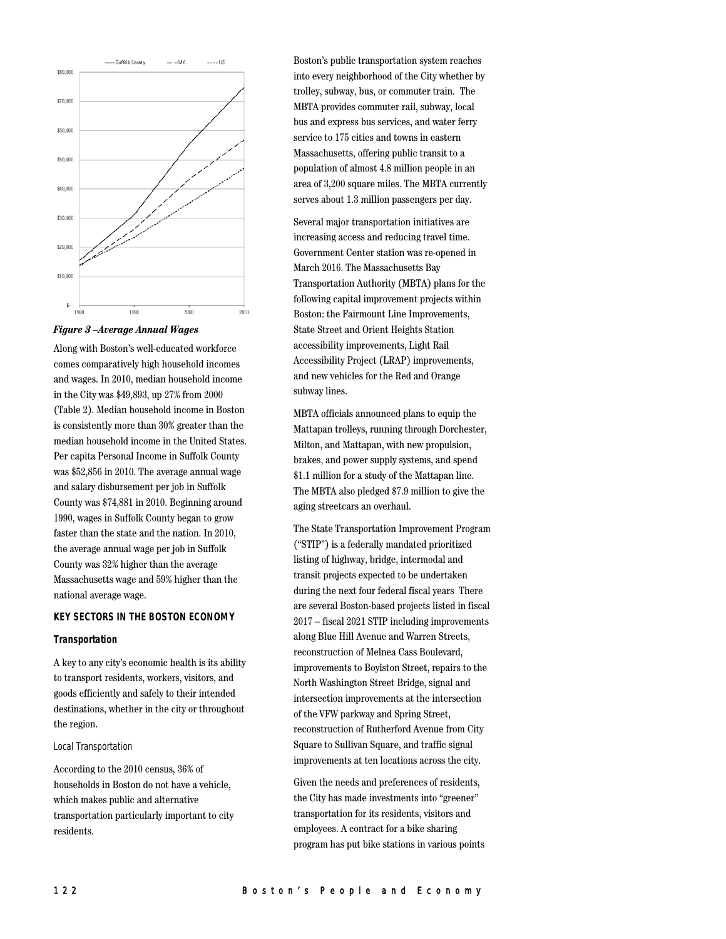

*Figure 3 –Average Annual Wages*

Along with Boston's well-educated workforce comes comparatively high household incomes and wages. In 2010, median household income in the City was \$49,893, up 27% from 2000 (Table 2). Median household income in Boston is consistently more than 30% greater than the median household income in the United States. Per capita Personal Income in Suffolk County was \$52,856 in 2010. The average annual wage and salary disbursement per job in Suffolk County was \$74,881 in 2010. Beginning around 1990, wages in Suffolk County began to grow faster than the state and the nation. In 2010, the average annual wage per job in Suffolk County was 32% higher than the average Massachusetts wage and 59% higher than the national average wage.

### **KEY SECTORS IN THE BOSTON ECONOMY**

#### **Transportation**

A key to any city's economic health is its ability to transport residents, workers, visitors, and goods efficiently and safely to their intended destinations, whether in the city or throughout the region.

#### Local Transportation

According to the 2010 census, 36% of households in Boston do not have a vehicle, which makes public and alternative transportation particularly important to city residents.

Boston's public transportation system reaches into every neighborhood of the City whether by trolley, subway, bus, or commuter train. The MBTA provides commuter rail, subway, local bus and express bus services, and water ferry service to 175 cities and towns in eastern Massachusetts, offering public transit to a population of almost 4.8 million people in an area of 3,200 square miles. The MBTA currently serves about 1.3 million passengers per day.

Several major transportation initiatives are increasing access and reducing travel time. Government Center station was re-opened in March 2016. The Massachusetts Bay Transportation Authority (MBTA) plans for the following capital improvement projects within Boston: the Fairmount Line Improvements, State Street and Orient Heights Station accessibility improvements, Light Rail Accessibility Project (LRAP) improvements, and new vehicles for the Red and Orange subway lines.

MBTA officials announced plans to equip the Mattapan trolleys, running through Dorchester, Milton, and Mattapan, with new propulsion, brakes, and power supply systems, and spend \$1.1 million for a study of the Mattapan line. The MBTA also pledged \$7.9 million to give the aging streetcars an overhaul.

The State Transportation Improvement Program ("STIP") is a federally mandated prioritized listing of highway, bridge, intermodal and transit projects expected to be undertaken during the next four federal fiscal years There are several Boston-based projects listed in fiscal 2017 – fiscal 2021 STIP including improvements along Blue Hill Avenue and Warren Streets, reconstruction of Melnea Cass Boulevard, improvements to Boylston Street, repairs to the North Washington Street Bridge, signal and intersection improvements at the intersection of the VFW parkway and Spring Street, reconstruction of Rutherford Avenue from City Square to Sullivan Square, and traffic signal improvements at ten locations across the city.

Given the needs and preferences of residents, the City has made investments into "greener" transportation for its residents, visitors and employees. A contract for a bike sharing program has put bike stations in various points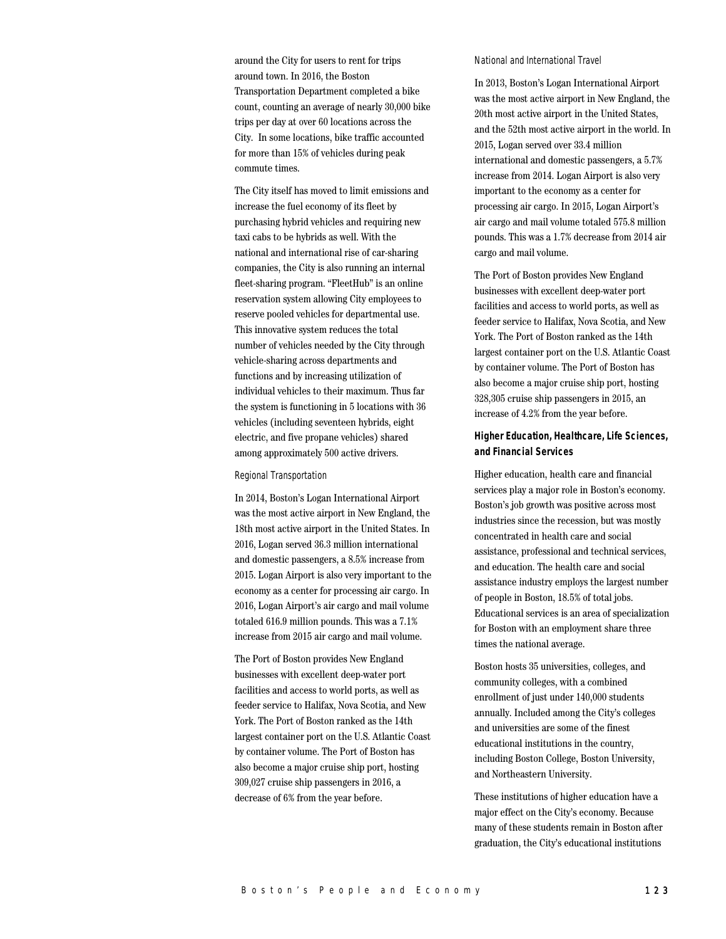around the City for users to rent for trips around town. In 2016, the Boston Transportation Department completed a bike count, counting an average of nearly 30,000 bike trips per day at over 60 locations across the City. In some locations, bike traffic accounted for more than 15% of vehicles during peak commute times.

The City itself has moved to limit emissions and increase the fuel economy of its fleet by purchasing hybrid vehicles and requiring new taxi cabs to be hybrids as well. With the national and international rise of car-sharing companies, the City is also running an internal fleet-sharing program. "FleetHub" is an online reservation system allowing City employees to reserve pooled vehicles for departmental use. This innovative system reduces the total number of vehicles needed by the City through vehicle-sharing across departments and functions and by increasing utilization of individual vehicles to their maximum. Thus far the system is functioning in 5 locations with 36 vehicles (including seventeen hybrids, eight electric, and five propane vehicles) shared among approximately 500 active drivers.

#### Regional Transportation

In 2014, Boston's Logan International Airport was the most active airport in New England, the 18th most active airport in the United States. In 2016, Logan served 36.3 million international and domestic passengers, a 8.5% increase from 2015. Logan Airport is also very important to the economy as a center for processing air cargo. In 2016, Logan Airport's air cargo and mail volume totaled 616.9 million pounds. This was a 7.1% increase from 2015 air cargo and mail volume.

The Port of Boston provides New England businesses with excellent deep-water port facilities and access to world ports, as well as feeder service to Halifax, Nova Scotia, and New York. The Port of Boston ranked as the 14th largest container port on the U.S. Atlantic Coast by container volume. The Port of Boston has also become a major cruise ship port, hosting 309,027 cruise ship passengers in 2016, a decrease of 6% from the year before.

#### National and International Travel

In 2013, Boston's Logan International Airport was the most active airport in New England, the 20th most active airport in the United States, and the 52th most active airport in the world. In 2015, Logan served over 33.4 million international and domestic passengers, a 5.7% increase from 2014. Logan Airport is also very important to the economy as a center for processing air cargo. In 2015, Logan Airport's air cargo and mail volume totaled 575.8 million pounds. This was a 1.7% decrease from 2014 air cargo and mail volume.

The Port of Boston provides New England businesses with excellent deep-water port facilities and access to world ports, as well as feeder service to Halifax, Nova Scotia, and New York. The Port of Boston ranked as the 14th largest container port on the U.S. Atlantic Coast by container volume. The Port of Boston has also become a major cruise ship port, hosting 328,305 cruise ship passengers in 2015, an increase of 4.2% from the year before.

## **Higher Education, Healthcare, Life Sciences, and Financial Services**

Higher education, health care and financial services play a major role in Boston's economy. Boston's job growth was positive across most industries since the recession, but was mostly concentrated in health care and social assistance, professional and technical services, and education. The health care and social assistance industry employs the largest number of people in Boston, 18.5% of total jobs. Educational services is an area of specialization for Boston with an employment share three times the national average.

Boston hosts 35 universities, colleges, and community colleges, with a combined enrollment of just under 140,000 students annually. Included among the City's colleges and universities are some of the finest educational institutions in the country, including Boston College, Boston University, and Northeastern University.

These institutions of higher education have a major effect on the City's economy. Because many of these students remain in Boston after graduation, the City's educational institutions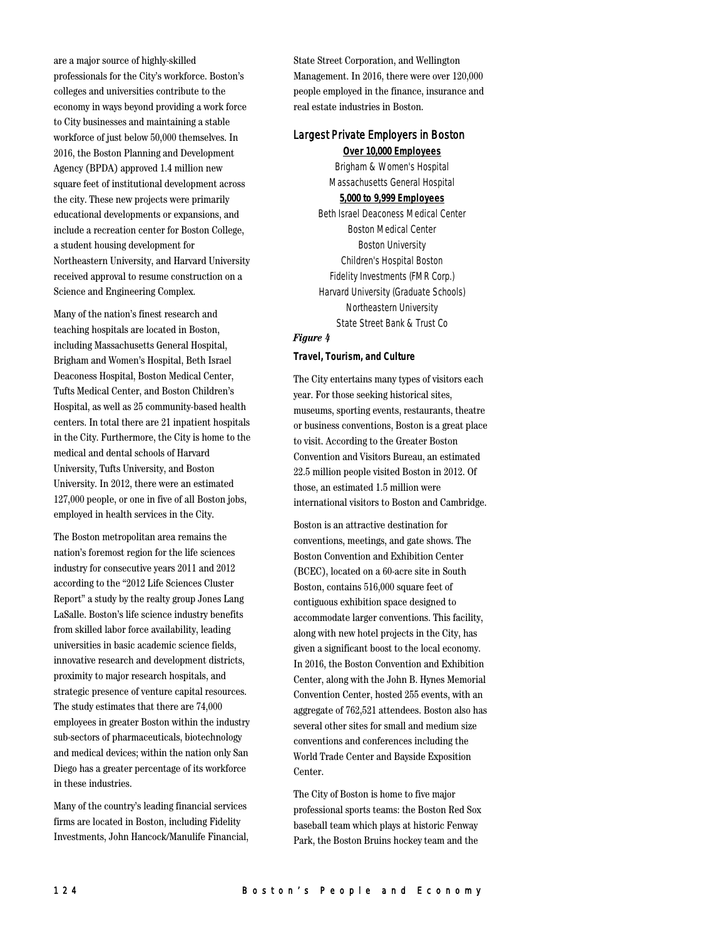are a major source of highly-skilled professionals for the City's workforce. Boston's colleges and universities contribute to the economy in ways beyond providing a work force to City businesses and maintaining a stable workforce of just below 50,000 themselves. In 2016, the Boston Planning and Development Agency (BPDA) approved 1.4 million new square feet of institutional development across the city. These new projects were primarily educational developments or expansions, and include a recreation center for Boston College, a student housing development for Northeastern University, and Harvard University received approval to resume construction on a Science and Engineering Complex.

Many of the nation's finest research and teaching hospitals are located in Boston, including Massachusetts General Hospital, Brigham and Women's Hospital, Beth Israel Deaconess Hospital, Boston Medical Center, Tufts Medical Center, and Boston Children's Hospital, as well as 25 community-based health centers. In total there are 21 inpatient hospitals in the City. Furthermore, the City is home to the medical and dental schools of Harvard University, Tufts University, and Boston University. In 2012, there were an estimated 127,000 people, or one in five of all Boston jobs, employed in health services in the City.

The Boston metropolitan area remains the nation's foremost region for the life sciences industry for consecutive years 2011 and 2012 according to the "2012 Life Sciences Cluster Report" a study by the realty group Jones Lang LaSalle. Boston's life science industry benefits from skilled labor force availability, leading universities in basic academic science fields, innovative research and development districts, proximity to major research hospitals, and strategic presence of venture capital resources. The study estimates that there are 74,000 employees in greater Boston within the industry sub-sectors of pharmaceuticals, biotechnology and medical devices; within the nation only San Diego has a greater percentage of its workforce in these industries.

Many of the country's leading financial services firms are located in Boston, including Fidelity Investments, John Hancock/Manulife Financial, State Street Corporation, and Wellington Management. In 2016, there were over 120,000 people employed in the finance, insurance and real estate industries in Boston.

# Largest Private Employers in Boston

**Over 10,000 Employees** Brigham & Women's Hospital Massachusetts General Hospital

## **5,000 to 9,999 Employees**

Beth Israel Deaconess Medical Center Boston Medical Center Boston University Children's Hospital Boston Fidelity Investments (FMR Corp.) Harvard University (Graduate Schools) Northeastern University State Street Bank & Trust Co

## *Figure 4*

## **Travel, Tourism, and Culture**

The City entertains many types of visitors each year. For those seeking historical sites, museums, sporting events, restaurants, theatre or business conventions, Boston is a great place to visit. According to the Greater Boston Convention and Visitors Bureau, an estimated 22.5 million people visited Boston in 2012. Of those, an estimated 1.5 million were international visitors to Boston and Cambridge.

Boston is an attractive destination for conventions, meetings, and gate shows. The Boston Convention and Exhibition Center (BCEC), located on a 60-acre site in South Boston, contains 516,000 square feet of contiguous exhibition space designed to accommodate larger conventions. This facility, along with new hotel projects in the City, has given a significant boost to the local economy. In 2016, the Boston Convention and Exhibition Center, along with the John B. Hynes Memorial Convention Center, hosted 255 events, with an aggregate of 762,521 attendees. Boston also has several other sites for small and medium size conventions and conferences including the World Trade Center and Bayside Exposition Center.

The City of Boston is home to five major professional sports teams: the Boston Red Sox baseball team which plays at historic Fenway Park, the Boston Bruins hockey team and the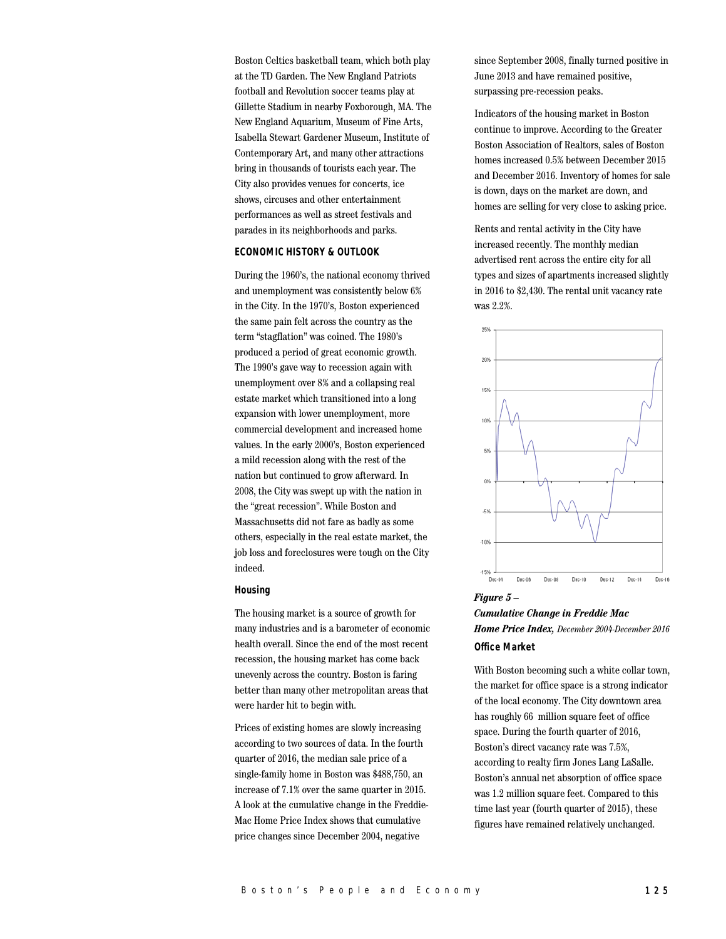Boston Celtics basketball team, which both play at the TD Garden. The New England Patriots football and Revolution soccer teams play at Gillette Stadium in nearby Foxborough, MA. The New England Aquarium, Museum of Fine Arts, Isabella Stewart Gardener Museum, Institute of Contemporary Art, and many other attractions bring in thousands of tourists each year. The City also provides venues for concerts, ice shows, circuses and other entertainment performances as well as street festivals and parades in its neighborhoods and parks.

### **ECONOMIC HISTORY & OUTLOOK**

During the 1960's, the national economy thrived and unemployment was consistently below 6% in the City. In the 1970's, Boston experienced the same pain felt across the country as the term "stagflation" was coined. The 1980's produced a period of great economic growth. The 1990's gave way to recession again with unemployment over 8% and a collapsing real estate market which transitioned into a long expansion with lower unemployment, more commercial development and increased home values. In the early 2000's, Boston experienced a mild recession along with the rest of the nation but continued to grow afterward. In 2008, the City was swept up with the nation in the "great recession". While Boston and Massachusetts did not fare as badly as some others, especially in the real estate market, the job loss and foreclosures were tough on the City indeed.

### **Housing**

The housing market is a source of growth for many industries and is a barometer of economic health overall. Since the end of the most recent recession, the housing market has come back unevenly across the country. Boston is faring better than many other metropolitan areas that were harder hit to begin with.

Prices of existing homes are slowly increasing according to two sources of data. In the fourth quarter of 2016, the median sale price of a single-family home in Boston was \$488,750, an increase of 7.1% over the same quarter in 2015. A look at the cumulative change in the Freddie-Mac Home Price Index shows that cumulative price changes since December 2004, negative

since September 2008, finally turned positive in June 2013 and have remained positive, surpassing pre-recession peaks.

Indicators of the housing market in Boston continue to improve. According to the Greater Boston Association of Realtors, sales of Boston homes increased 0.5% between December 2015 and December 2016. Inventory of homes for sale is down, days on the market are down, and homes are selling for very close to asking price.

Rents and rental activity in the City have increased recently. The monthly median advertised rent across the entire city for all types and sizes of apartments increased slightly in 2016 to \$2,430. The rental unit vacancy rate was 2.2%.



# *Figure 5 – Cumulative Change in Freddie Mac Home Price Index, December 2004-December 2016* **Office Market**

With Boston becoming such a white collar town, the market for office space is a strong indicator of the local economy. The City downtown area has roughly 66 million square feet of office space. During the fourth quarter of 2016, Boston's direct vacancy rate was 7.5%, according to realty firm Jones Lang LaSalle. Boston's annual net absorption of office space was 1.2 million square feet. Compared to this time last year (fourth quarter of 2015), these figures have remained relatively unchanged.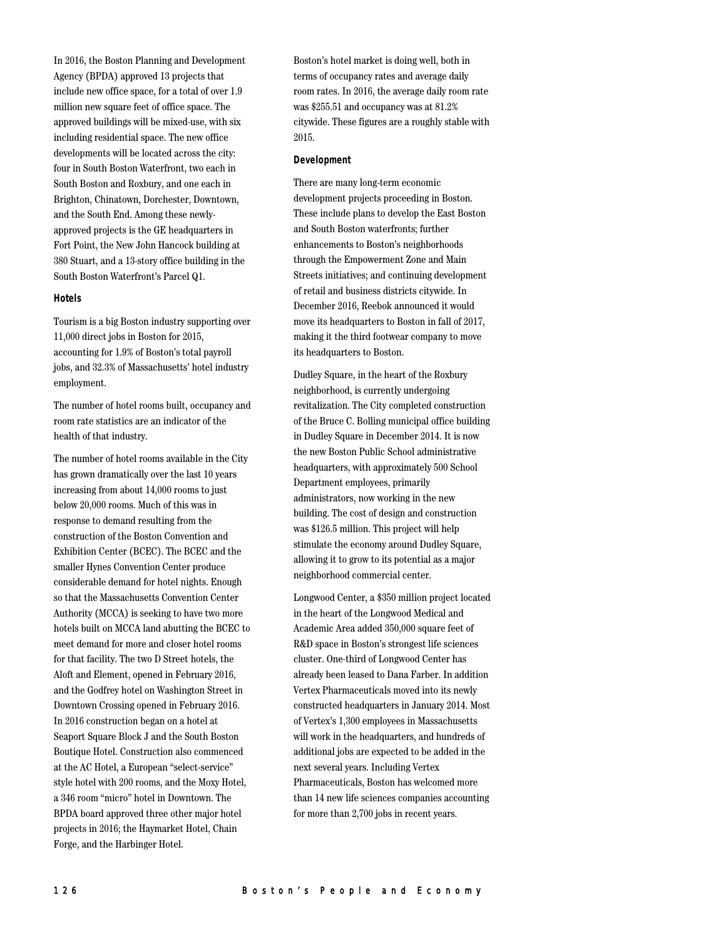In 2016, the Boston Planning and Development Agency (BPDA) approved 13 projects that include new office space, for a total of over 1.9 million new square feet of office space. The approved buildings will be mixed-use, with six including residential space. The new office developments will be located across the city: four in South Boston Waterfront, two each in South Boston and Roxbury, and one each in Brighton, Chinatown, Dorchester, Downtown, and the South End. Among these newlyapproved projects is the GE headquarters in Fort Point, the New John Hancock building at 380 Stuart, and a 13-story office building in the South Boston Waterfront's Parcel Q1.

#### **Hotels**

Tourism is a big Boston industry supporting over 11,000 direct jobs in Boston for 2015, accounting for 1.9% of Boston's total payroll jobs, and 32.3% of Massachusetts' hotel industry employment.

The number of hotel rooms built, occupancy and room rate statistics are an indicator of the health of that industry.

The number of hotel rooms available in the City has grown dramatically over the last 10 years increasing from about 14,000 rooms to just below 20,000 rooms. Much of this was in response to demand resulting from the construction of the Boston Convention and Exhibition Center (BCEC). The BCEC and the smaller Hynes Convention Center produce considerable demand for hotel nights. Enough so that the Massachusetts Convention Center Authority (MCCA) is seeking to have two more hotels built on MCCA land abutting the BCEC to meet demand for more and closer hotel rooms for that facility. The two D Street hotels, the Aloft and Element, opened in February 2016, and the Godfrey hotel on Washington Street in Downtown Crossing opened in February 2016. In 2016 construction began on a hotel at Seaport Square Block J and the South Boston Boutique Hotel. Construction also commenced at the AC Hotel, a European "select-service" style hotel with 200 rooms, and the Moxy Hotel, a 346 room "micro" hotel in Downtown. The BPDA board approved three other major hotel projects in 2016; the Haymarket Hotel, Chain Forge, and the Harbinger Hotel.

Boston's hotel market is doing well, both in terms of occupancy rates and average daily room rates. In 2016, the average daily room rate was \$255.51 and occupancy was at 81.2% citywide. These figures are a roughly stable with 2015.

#### **Development**

There are many long-term economic development projects proceeding in Boston. These include plans to develop the East Boston and South Boston waterfronts; further enhancements to Boston's neighborhoods through the Empowerment Zone and Main Streets initiatives; and continuing development of retail and business districts citywide. In December 2016, Reebok announced it would move its headquarters to Boston in fall of 2017, making it the third footwear company to move its headquarters to Boston.

Dudley Square, in the heart of the Roxbury neighborhood, is currently undergoing revitalization. The City completed construction of the Bruce C. Bolling municipal office building in Dudley Square in December 2014. It is now the new Boston Public School administrative headquarters, with approximately 500 School Department employees, primarily administrators, now working in the new building. The cost of design and construction was \$126.5 million. This project will help stimulate the economy around Dudley Square, allowing it to grow to its potential as a major neighborhood commercial center.

Longwood Center, a \$350 million project located in the heart of the Longwood Medical and Academic Area added 350,000 square feet of R&D space in Boston's strongest life sciences cluster. One-third of Longwood Center has already been leased to Dana Farber. In addition Vertex Pharmaceuticals moved into its newly constructed headquarters in January 2014. Most of Vertex's 1,300 employees in Massachusetts will work in the headquarters, and hundreds of additional jobs are expected to be added in the next several years. Including Vertex Pharmaceuticals, Boston has welcomed more than 14 new life sciences companies accounting for more than 2,700 jobs in recent years.